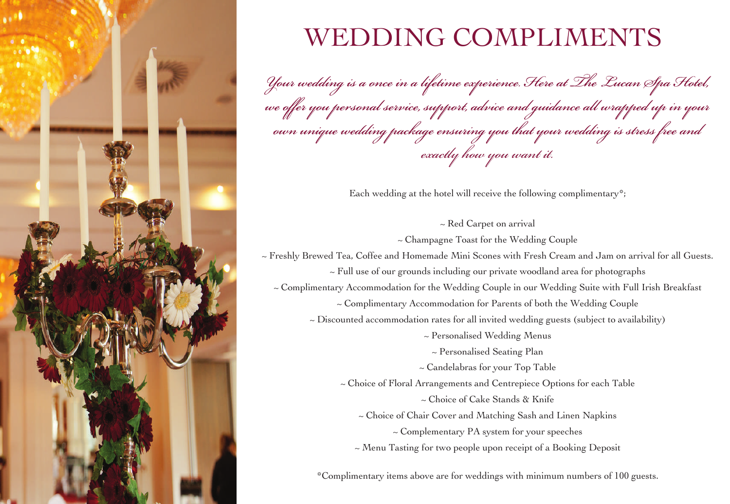

## WEDDING COMPLIMENTS

Your wedding is a once in a lifetime experience. Here at The Lucan Spa Hotel, we offer you personal service, support, advice and guidance all wrapped up in your own unique wedding package ensuring you that your wedding is stress free and *exactly how you want it.*

Each wedding at the hotel will receive the following complimentary\*;

~ Red Carpet on arrival

~ Champagne Toast for the Wedding Couple

~ Freshly Brewed Tea, Coffee and Homemade Mini Scones with Fresh Cream and Jam on arrival for all Guests.

~ Full use of our grounds including our private woodland area for photographs

~ Complimentary Accommodation for the Wedding Couple in our Wedding Suite with Full Irish Breakfast

~ Complimentary Accommodation for Parents of both the Wedding Couple

 $\sim$  Discounted accommodation rates for all invited wedding guests (subject to availability)

~ Personalised Wedding Menus

~ Personalised Seating Plan

~ Candelabras for your Top Table

~ Choice of Floral Arrangements and Centrepiece Options for each Table

~ Choice of Cake Stands & Knife

~ Choice of Chair Cover and Matching Sash and Linen Napkins

~ Complementary PA system for your speeches

~ Menu Tasting for two people upon receipt of a Booking Deposit

\*Complimentary items above are for weddings with minimum numbers of 100 guests.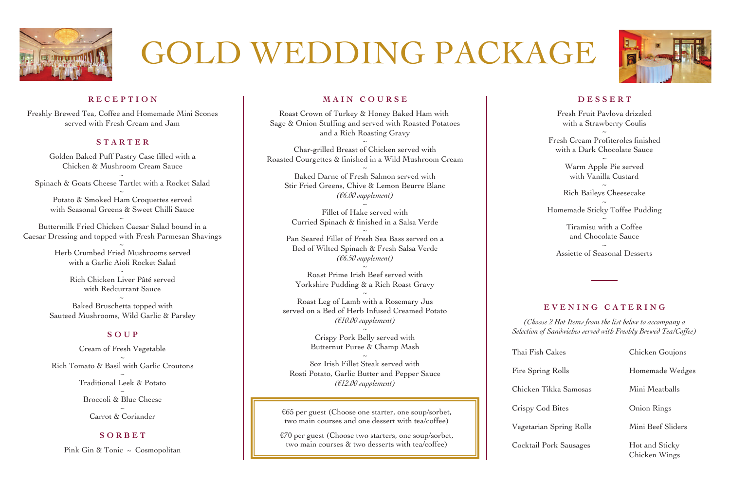

# GOLD WEDDING PACKAGE



### **RECEPTION**

Freshly Brewed Tea, Coffee and Homemade Mini Scones served with Fresh Cream and Jam

### **STARTER**

Golden Baked Puff Pastry Case filled with a Chicken & Mushroom Cream Sauce ~

Spinach & Goats Cheese Tartlet with a Rocket Salad <sup>~</sup>

Potato & Smoked Ham Croquettes served with Seasonal Greens & Sweet Chilli Sauce

~ Buttermilk Fried Chicken Caesar Salad bound in a Caesar Dressing and topped with Fresh Parmesan Shavings

 $\sim$ Herb Crumbed Fried Mushrooms served with a Garlic Aioli Rocket Salad

> Rich Chicken Liver Pâté served with Redcurrant Sauce

 $\sim$ Baked Bruschetta topped with Sauteed Mushrooms, Wild Garlic & Parsley

### **SOUP**

Cream of Fresh Vegetable  $\ddot{\sim}$ Rich Tomato & Basil with Garlic Croutons <sup>~</sup> Traditional Leek & Potato <sup>~</sup> Broccoli & Blue Cheese  $\ddot{\sim}$ Carrot & Coriander

### **SORBET**

Pink Gin & Tonic ~ Cosmopolitan

### **MAIN COURSE**

Roast Crown of Turkey & Honey Baked Ham with Sage & Onion Stuffing and served with Roasted Potatoes and a Rich Roasting Gravy

~ Char-grilled Breast of Chicken served with Roasted Courgettes & finished in a Wild Mushroom Cream

~ Baked Darne of Fresh Salmon served with Stir Fried Greens, Chive & Lemon Beurre Blanc *(€6.00 supplement)*

 $\overline{\phantom{a}}$ Fillet of Hake served with Curried Spinach & finished in a Salsa Verde ~

Pan Seared Fillet of Fresh Sea Bass served on a Bed of Wilted Spinach & Fresh Salsa Verde *(€6.50 supplement)*

 $\overline{\phantom{a}}$ Roast Prime Irish Beef served with Yorkshire Pudding & a Rich Roast Gravy ~

Roast Leg of Lamb with a Rosemary Jus served on a Bed of Herb Infused Creamed Potato *(€10.00 supplement)*  $\frac{1}{2}$ 

Crispy Pork Belly served with Butternut Puree & Champ Mash

~ 8oz Irish Fillet Steak served with Rosti Potato, Garlic Butter and Pepper Sauce *(€12.00 supplement)*

€65 per guest (Choose one starter, one soup/sorbet, two main courses and one dessert with tea/coffee)

€70 per guest (Choose two starters, one soup/sorbet, two main courses & two desserts with tea/coffee)

#### **DESSERT**

Fresh Fruit Pavlova drizzled with a Strawberry Coulis ~

Fresh Cream Profiteroles finished with a Dark Chocolate Sauce

~ Warm Apple Pie served with Vanilla Custard

Rich Baileys Cheesecake

Homemade Sticky Toffee Pudding

~ Tiramisu with a Coffee and Chocolate Sauce

~ Assiette of Seasonal Desserts

### **EVENING CATERING**

*(Choose 2 Hot Items from the list below to accompany a Selection of Sandwiches served with Freshly Brewed Tea/Coffee)*

| Thai Fish Cakes         | Chicken Goujons                 |
|-------------------------|---------------------------------|
| Fire Spring Rolls       | Homemade Wedges                 |
| Chicken Tikka Samosas   | Mini Meatballs                  |
| Crispy Cod Bites        | Onion Rings                     |
| Vegetarian Spring Rolls | Mini Beef Sliders               |
| Cocktail Pork Sausages  | Hot and Sticky<br>Chicken Wings |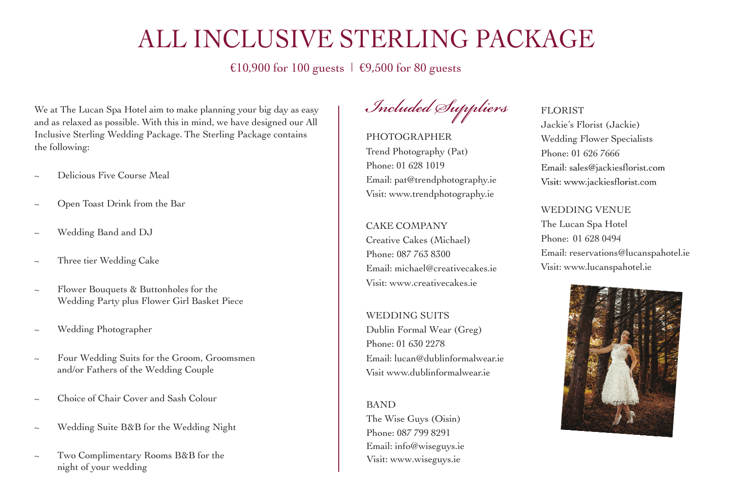### ALL INCLUSIVE STERLING PACKAGE

€10,900 for 100 guests  $\mid$  €9,500 for 80 guests

We at The Lucan Spa Hotel aim to make planning your big day as easy and as relaxed as possible. With this in mind, we have designed our All Inclusive Sterling Wedding Package. The Sterling Package contains the following:

- Delicious Five Course Meal
- ~ Open Toast Drink from the Bar
- ~ Wedding Band and DJ
- ~ Three tier Wedding Cake
- ~ Flower Bouquets & Buttonholes for the Wedding Party plus Flower Girl Basket Piece
- ~ Wedding Photographer
- ~ Four Wedding Suits for the Groom, Groomsmen and/or Fathers of the Wedding Couple
- ~ Choice of Chair Cover and Sash Colour
- ~ Wedding Suite B&B for the Wedding Night
- ~ Two Complimentary Rooms B&B for the night of your wedding

Included Suppliers

PHOTOGRAPHER Trend Photography (Pat) Phone: 01 628 1019 Email: pat@trendphotography.ie Visit: www.trendphotography.ie

CAKE COMPANY Creative Cakes (Michael) Phone: 087 763 8300 Email: michael@creativecakes.ie Visit: www.creativecakes.ie

WEDDING SUITS Dublin Formal Wear (Greg) Phone: 01 630 2278 Email: lucan@dublinformalwear.ie Visit www.dublinformalwear.ie

BAND The Wise Guys (Oisin) Phone: 087 799 8291 Email: info@wiseguys.ie Visit: www.wiseguys.ie

### FLORIST

Jackie's Florist (Jackie) Wedding Flower Specialists Phone: 01 626 7666 Email: sales@jackiesflorist.com Visit: www.jackiesflorist.com

WEDDING VENUE The Lucan Spa Hotel Phone: 01 628 0494 Email: reservations@lucanspahotel.ie Visit: www.lucanspahotel.ie